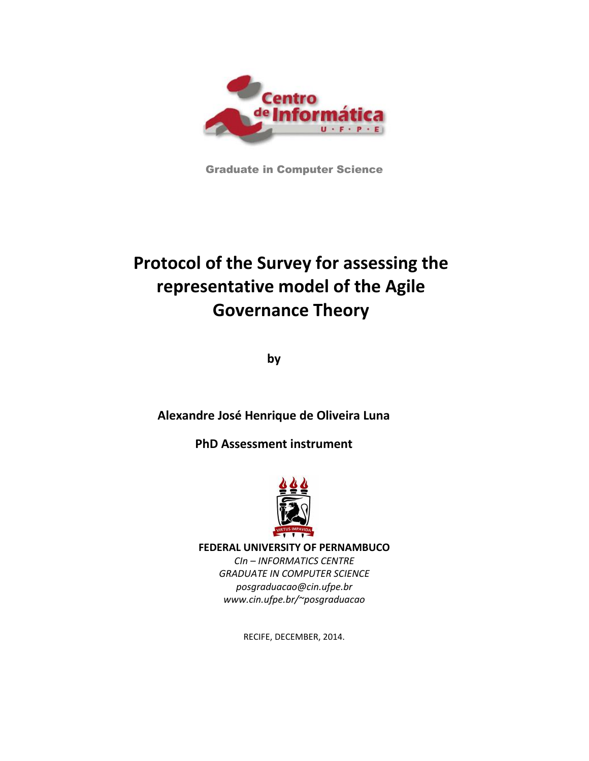

Graduate in Computer Science

# **Protocol of the Survey for assessing the representative model of the Agile Governance Theory**

**by**

**Alexandre José Henrique de Oliveira Luna**

**PhD Assessment instrument**



**FEDERAL UNIVERSITY OF PERNAMBUCO**

*CIn – INFORMATICS CENTRE GRADUATE IN COMPUTER SCIENCE [posgraduacao@cin.ufpe.br](mailto:posgraduacao@cin.ufpe.br) www.cin.ufpe.br/~posgraduacao*

RECIFE, DECEMBER, 2014.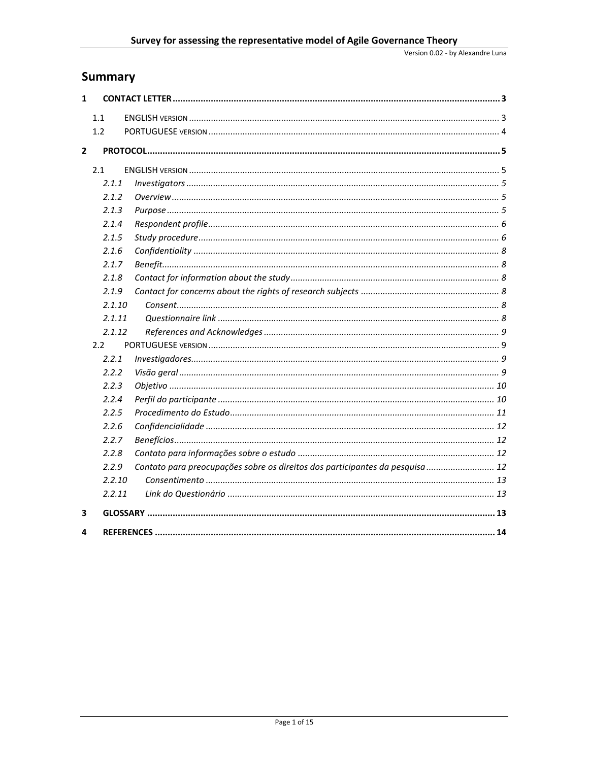# **Summary**

| $\mathbf{1}$   |        |                                                                               |
|----------------|--------|-------------------------------------------------------------------------------|
|                | 1.1    |                                                                               |
|                | 1.2    |                                                                               |
|                |        |                                                                               |
| $\overline{2}$ |        |                                                                               |
|                | 2.1    |                                                                               |
|                | 2.1.1  |                                                                               |
|                | 2.1.2  |                                                                               |
|                | 2.1.3  |                                                                               |
|                | 2.1.4  |                                                                               |
|                | 2.1.5  |                                                                               |
|                | 2.1.6  |                                                                               |
|                | 2.1.7  |                                                                               |
|                | 2.1.8  |                                                                               |
|                | 2.1.9  |                                                                               |
|                | 2.1.10 |                                                                               |
|                | 2.1.11 |                                                                               |
|                | 2.1.12 |                                                                               |
|                | 2.2    |                                                                               |
|                | 2.2.1  |                                                                               |
|                | 2.2.2  |                                                                               |
|                | 2.2.3  |                                                                               |
|                | 2.2.4  |                                                                               |
|                | 2.2.5  |                                                                               |
|                | 2.2.6  |                                                                               |
|                | 2.2.7  |                                                                               |
|                | 2.2.8  |                                                                               |
|                | 2.2.9  | Contato para preocupações sobre os direitos dos participantes da pesquisa  12 |
|                | 2.2.10 |                                                                               |
|                | 2.2.11 |                                                                               |
| 3              |        |                                                                               |
| 4              |        |                                                                               |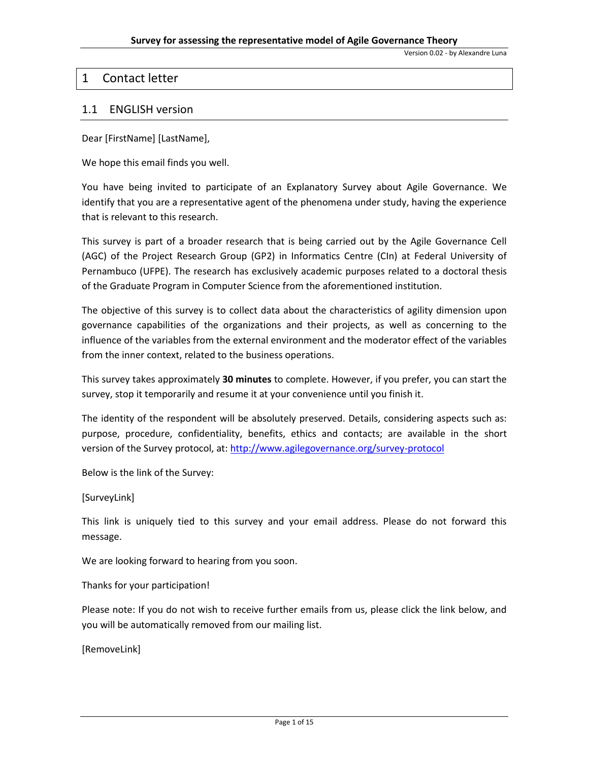Version 0.02 - by Alexandre Luna

# <span id="page-2-0"></span>1 Contact letter

# <span id="page-2-1"></span>1.1 ENGLISH version

Dear [FirstName] [LastName],

We hope this email finds you well.

You have being invited to participate of an Explanatory Survey about Agile Governance. We identify that you are a representative agent of the phenomena under study, having the experience that is relevant to this research.

This survey is part of a broader research that is being carried out by the Agile Governance Cell (AGC) of the Project Research Group (GP2) in Informatics Centre (CIn) at Federal University of Pernambuco (UFPE). The research has exclusively academic purposes related to a doctoral thesis of the Graduate Program in Computer Science from the aforementioned institution.

The objective of this survey is to collect data about the characteristics of agility dimension upon governance capabilities of the organizations and their projects, as well as concerning to the influence of the variables from the external environment and the moderator effect of the variables from the inner context, related to the business operations.

This survey takes approximately **30 minutes** to complete. However, if you prefer, you can start the survey, stop it temporarily and resume it at your convenience until you finish it.

The identity of the respondent will be absolutely preserved. Details, considering aspects such as: purpose, procedure, confidentiality, benefits, ethics and contacts; are available in the short version of the Survey protocol, at:<http://www.agilegovernance.org/survey-protocol>

Below is the link of the Survey:

[SurveyLink]

This link is uniquely tied to this survey and your email address. Please do not forward this message.

We are looking forward to hearing from you soon.

Thanks for your participation!

Please note: If you do not wish to receive further emails from us, please click the link below, and you will be automatically removed from our mailing list.

[RemoveLink]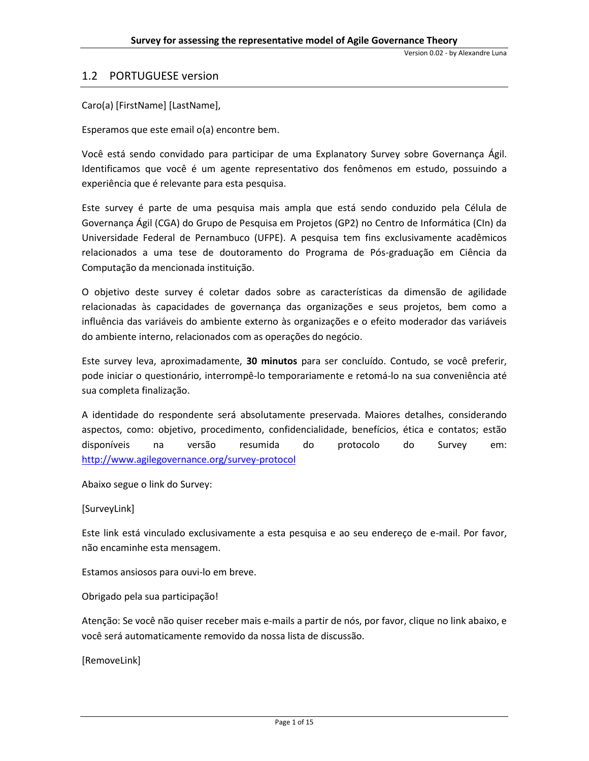# <span id="page-3-0"></span>1.2 PORTUGUESE version

Caro(a) [FirstName] [LastName],

Esperamos que este email o(a) encontre bem.

Você está sendo convidado para participar de uma Explanatory Survey sobre Governança Ágil. Identificamos que você é um agente representativo dos fenômenos em estudo, possuindo a experiência que é relevante para esta pesquisa.

Este survey é parte de uma pesquisa mais ampla que está sendo conduzido pela Célula de Governança Ágil (CGA) do Grupo de Pesquisa em Projetos (GP2) no Centro de Informática (CIn) da Universidade Federal de Pernambuco (UFPE). A pesquisa tem fins exclusivamente acadêmicos relacionados a uma tese de doutoramento do Programa de Pós-graduação em Ciência da Computação da mencionada instituição.

O objetivo deste survey é coletar dados sobre as características da dimensão de agilidade relacionadas às capacidades de governança das organizações e seus projetos, bem como a influência das variáveis do ambiente externo às organizações e o efeito moderador das variáveis do ambiente interno, relacionados com as operações do negócio.

Este survey leva, aproximadamente, **30 minutos** para ser concluído. Contudo, se você preferir, pode iniciar o questionário, interrompê-lo temporariamente e retomá-lo na sua conveniência até sua completa finalização.

A identidade do respondente será absolutamente preservada. Maiores detalhes, considerando aspectos, como: objetivo, procedimento, confidencialidade, benefícios, ética e contatos; estão disponíveis na versão resumida do protocolo do Survey em: <http://www.agilegovernance.org/survey-protocol>

Abaixo segue o link do Survey:

[SurveyLink]

Este link está vinculado exclusivamente a esta pesquisa e ao seu endereço de e-mail. Por favor, não encaminhe esta mensagem.

Estamos ansiosos para ouvi-lo em breve.

Obrigado pela sua participação!

Atenção: Se você não quiser receber mais e-mails a partir de nós, por favor, clique no link abaixo, e você será automaticamente removido da nossa lista de discussão.

[RemoveLink]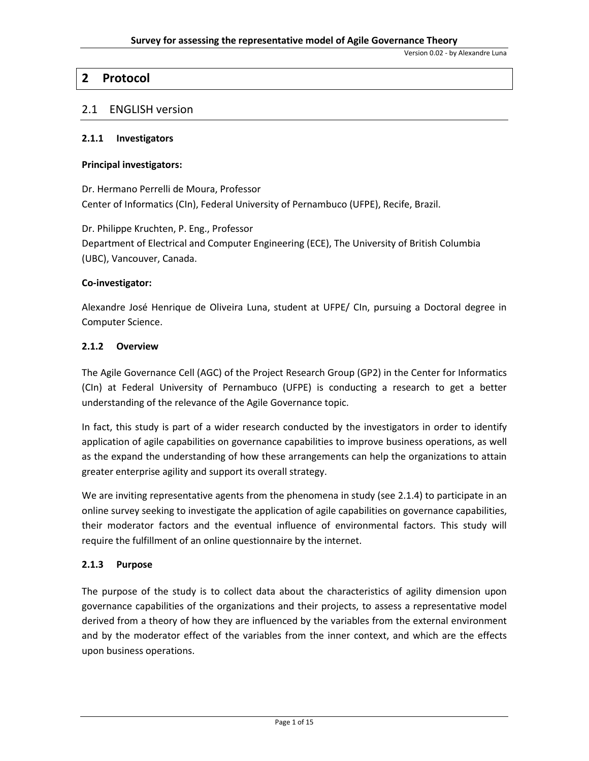Version 0.02 - by Alexandre Luna

# <span id="page-4-0"></span>**2 Protocol**

# <span id="page-4-1"></span>2.1 ENGLISH version

#### <span id="page-4-2"></span>**2.1.1 Investigators**

#### **Principal investigators:**

Dr. Hermano Perrelli de Moura, Professor Center of Informatics (CIn), Federal University of Pernambuco (UFPE), Recife, Brazil.

Dr. Philippe Kruchten, P. Eng., Professor Department of Electrical and Computer Engineering (ECE), The University of British Columbia (UBC), Vancouver, Canada.

#### **Co-investigator:**

Alexandre José Henrique de Oliveira Luna, student at UFPE/ CIn, pursuing a Doctoral degree in Computer Science.

# <span id="page-4-3"></span>**2.1.2 Overview**

The Agile Governance Cell (AGC) of the Project Research Group (GP2) in the Center for Informatics (CIn) at Federal University of Pernambuco (UFPE) is conducting a research to get a better understanding of the relevance of the Agile Governance topic.

In fact, this study is part of a wider research conducted by the investigators in order to identify application of agile capabilities on governance capabilities to improve business operations, as well as the expand the understanding of how these arrangements can help the organizations to attain greater enterprise agility and support its overall strategy.

We are inviting representative agents from the phenomena in study (se[e 2.1.4\)](#page-5-0) to participate in an online survey seeking to investigate the application of agile capabilities on governance capabilities, their moderator factors and the eventual influence of environmental factors. This study will require the fulfillment of an online questionnaire by the internet.

# <span id="page-4-4"></span>**2.1.3 Purpose**

The purpose of the study is to collect data about the characteristics of agility dimension upon governance capabilities of the organizations and their projects, to assess a representative model derived from a theory of how they are influenced by the variables from the external environment and by the moderator effect of the variables from the inner context, and which are the effects upon business operations.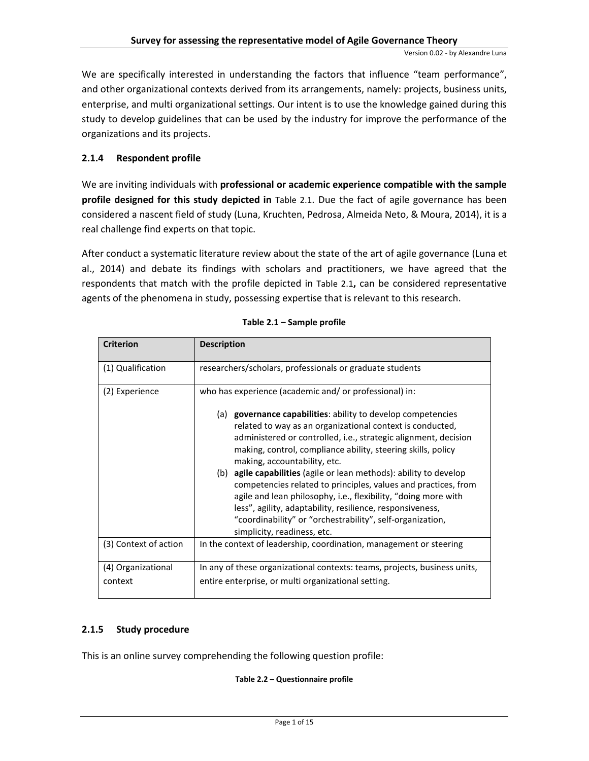We are specifically interested in understanding the factors that influence "team performance", and other organizational contexts derived from its arrangements, namely: projects, business units, enterprise, and multi organizational settings. Our intent is to use the knowledge gained during this study to develop guidelines that can be used by the industry for improve the performance of the organizations and its projects.

# <span id="page-5-0"></span>**2.1.4 Respondent profile**

We are inviting individuals with **professional or academic experience compatible with the sample profile designed for this study depicted in** [Table 2.1](#page-5-2). Due the fact of agile governance has been considered a nascent field of study (Luna, Kruchten, Pedrosa, Almeida Neto, & Moura, 2014), it is a real challenge find experts on that topic.

After conduct a systematic literature review about the state of the art of agile governance (Luna et al., 2014) and debate its findings with scholars and practitioners, we have agreed that the respondents that match with the profile depicted in [Table 2.1](#page-5-2)**,** can be considered representative agents of the phenomena in study, possessing expertise that is relevant to this research.

<span id="page-5-2"></span>

| <b>Criterion</b>              | <b>Description</b>                                                                                                                                                                                                                                                                                                                                                                                                                                  |
|-------------------------------|-----------------------------------------------------------------------------------------------------------------------------------------------------------------------------------------------------------------------------------------------------------------------------------------------------------------------------------------------------------------------------------------------------------------------------------------------------|
| (1) Qualification             | researchers/scholars, professionals or graduate students                                                                                                                                                                                                                                                                                                                                                                                            |
| (2) Experience                | who has experience (academic and/ or professional) in:                                                                                                                                                                                                                                                                                                                                                                                              |
|                               | (a) <b>governance capabilities</b> : ability to develop competencies<br>related to way as an organizational context is conducted,<br>administered or controlled, i.e., strategic alignment, decision<br>making, control, compliance ability, steering skills, policy<br>making, accountability, etc.<br>(b) <b>agile capabilities</b> (agile or lean methods): ability to develop<br>competencies related to principles, values and practices, from |
|                               | agile and lean philosophy, i.e., flexibility, "doing more with<br>less", agility, adaptability, resilience, responsiveness,<br>"coordinability" or "orchestrability", self-organization,<br>simplicity, readiness, etc.                                                                                                                                                                                                                             |
| (3) Context of action         | In the context of leadership, coordination, management or steering                                                                                                                                                                                                                                                                                                                                                                                  |
| (4) Organizational<br>context | In any of these organizational contexts: teams, projects, business units,<br>entire enterprise, or multi organizational setting.                                                                                                                                                                                                                                                                                                                    |

#### **Table 2.1 – Sample profile**

# <span id="page-5-1"></span>**2.1.5 Study procedure**

This is an online survey comprehending the following question profile:

# **Table 2.2 – Questionnaire profile**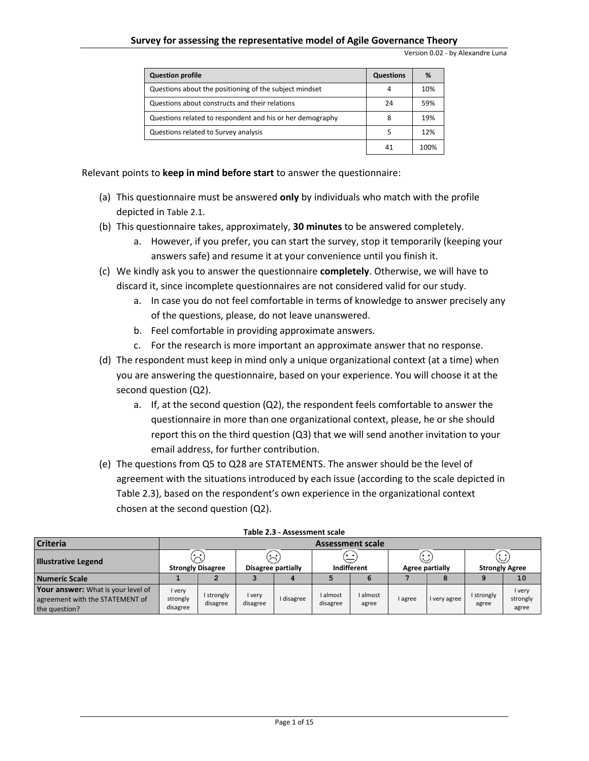| <b>Question profile</b>                                   | Questions | %    |
|-----------------------------------------------------------|-----------|------|
| Questions about the positioning of the subject mindset    | 4         | 10%  |
| Questions about constructs and their relations            | 24        | 59%  |
| Questions related to respondent and his or her demography | 8         | 19%  |
| Questions related to Survey analysis                      |           | 12%  |
|                                                           | 41        | 100% |

Relevant points to **keep in mind before start** to answer the questionnaire:

- (a) This questionnaire must be answered **only** by individuals who match with the profile depicted in [Table 2.1](#page-5-2).
- (b) This questionnaire takes, approximately, **30 minutes** to be answered completely.
	- a. However, if you prefer, you can start the survey, stop it temporarily (keeping your answers safe) and resume it at your convenience until you finish it.
- (c) We kindly ask you to answer the questionnaire **completely**. Otherwise, we will have to discard it, since incomplete questionnaires are not considered valid for our study.
	- a. In case you do not feel comfortable in terms of knowledge to answer precisely any of the questions, please, do not leave unanswered.
	- b. Feel comfortable in providing approximate answers.
	- c. For the research is more important an approximate answer that no response.
- (d) The respondent must keep in mind only a unique organizational context (at a time) when you are answering the questionnaire, based on your experience. You will choose it at the second question (Q2).
	- a. If, at the second question (Q2), the respondent feels comfortable to answer the questionnaire in more than one organizational context, please, he or she should report this on the third question (Q3) that we will send another invitation to your email address, for further contribution.
- (e) The questions from Q5 to Q28 are STATEMENTS. The answer should be the level of agreement with the situations introduced by each issue (according to the scale depicted in [Table 2.3\)](#page-6-0), based on the respondent's own experience in the organizational context chosen at the second question (Q2).

<span id="page-6-0"></span>

| <b>Criteria</b>                                                                               | <b>Assessment scale</b>            |                        |                    |            |                      |                   |                              |            |                                             |                             |
|-----------------------------------------------------------------------------------------------|------------------------------------|------------------------|--------------------|------------|----------------------|-------------------|------------------------------|------------|---------------------------------------------|-----------------------------|
| <b>Illustrative Legend</b>                                                                    | $\sim$<br><b>Strongly Disagree</b> |                        | Disagree partially |            | ′∙ ∙<br>Indifferent  |                   | . .<br>رب<br>Agree partially |            | $\curvearrowright$<br><b>Strongly Agree</b> |                             |
| Numeric Scale                                                                                 |                                    |                        |                    |            |                      |                   |                              |            |                                             | 10                          |
| <b>Your answer:</b> What is your level of<br>agreement with the STATEMENT of<br>the question? | I very<br>strongly<br>disagree     | I strongly<br>disagree | l very<br>disagree | I disagree | I almost<br>disagree | I almost<br>agree | I agree                      | very agree | I strongly<br>agree                         | I very<br>strongly<br>agree |

| Table 2.3 - Assessment scale |
|------------------------------|
|------------------------------|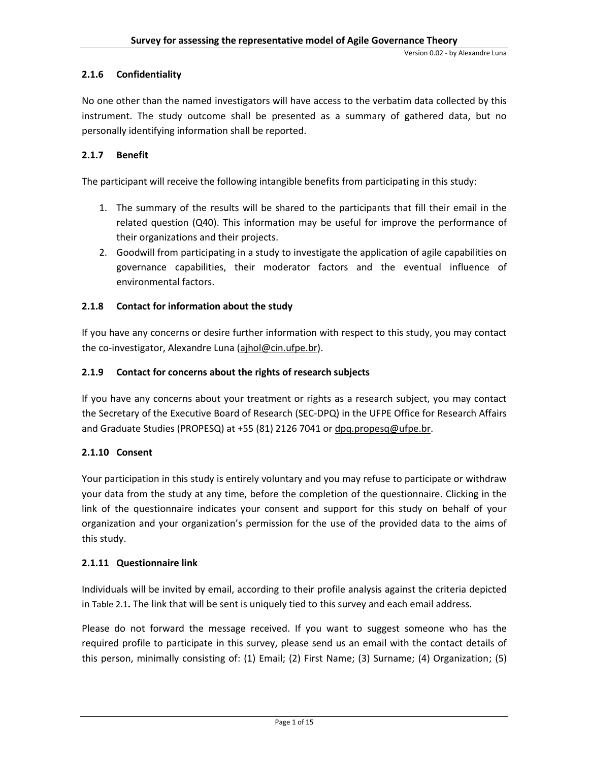# <span id="page-7-0"></span>**2.1.6 Confidentiality**

No one other than the named investigators will have access to the verbatim data collected by this instrument. The study outcome shall be presented as a summary of gathered data, but no personally identifying information shall be reported.

# <span id="page-7-1"></span>**2.1.7 Benefit**

The participant will receive the following intangible benefits from participating in this study:

- 1. The summary of the results will be shared to the participants that fill their email in the related question (Q40). This information may be useful for improve the performance of their organizations and their projects.
- 2. Goodwill from participating in a study to investigate the application of agile capabilities on governance capabilities, their moderator factors and the eventual influence of environmental factors.

# <span id="page-7-2"></span>**2.1.8 Contact for information about the study**

If you have any concerns or desire further information with respect to this study, you may contact the co-investigator, Alexandre Luna [\(ajhol@cin.ufpe.br\)](mailto:ajhol@cin.ufpe.br).

# <span id="page-7-3"></span>**2.1.9 Contact for concerns about the rights of research subjects**

If you have any concerns about your treatment or rights as a research subject, you may contact the Secretary of the Executive Board of Research (SEC-DPQ) in the UFPE Office for Research Affairs and Graduate Studies (PROPESQ) at +55 (81) 2126 7041 or [dpq.propesq@ufpe.br.](mailto:dpq.propesq@ufpe.br)

# <span id="page-7-4"></span>**2.1.10 Consent**

Your participation in this study is entirely voluntary and you may refuse to participate or withdraw your data from the study at any time, before the completion of the questionnaire. Clicking in the link of the questionnaire indicates your consent and support for this study on behalf of your organization and your organization's permission for the use of the provided data to the aims of this study.

# <span id="page-7-5"></span>**2.1.11 Questionnaire link**

Individuals will be invited by email, according to their profile analysis against the criteria depicted in [Table 2.1](#page-5-2)**.** The link that will be sent is uniquely tied to this survey and each email address.

Please do not forward the message received. If you want to suggest someone who has the required profile to participate in this survey, please send us an email with the contact details of this person, minimally consisting of: (1) Email; (2) First Name; (3) Surname; (4) Organization; (5)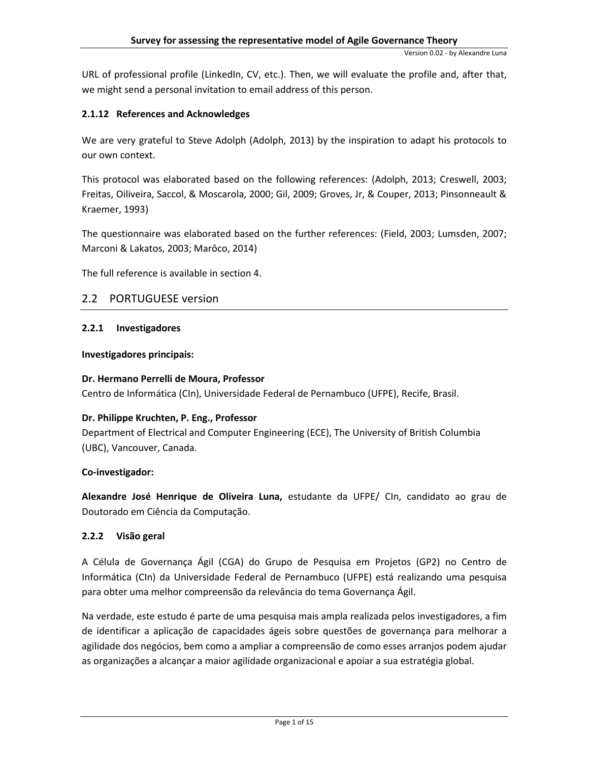URL of professional profile (LinkedIn, CV, etc.). Then, we will evaluate the profile and, after that, we might send a personal invitation to email address of this person.

# <span id="page-8-0"></span>**2.1.12 References and Acknowledges**

We are very grateful to Steve Adolph (Adolph, 2013) by the inspiration to adapt his protocols to our own context.

This protocol was elaborated based on the following references: (Adolph, 2013; Creswell, 2003; Freitas, Oiliveira, Saccol, & Moscarola, 2000; Gil, 2009; Groves, Jr, & Couper, 2013; Pinsonneault & Kraemer, 1993)

The questionnaire was elaborated based on the further references: (Field, 2003; Lumsden, 2007; Marconi & Lakatos, 2003; Marôco, 2014)

The full reference is available in sectio[n 4.](#page-13-0)

# <span id="page-8-1"></span>2.2 PORTUGUESE version

# <span id="page-8-2"></span>**2.2.1 Investigadores**

# **Investigadores principais:**

# **Dr. Hermano Perrelli de Moura, Professor**

Centro de Informática (CIn), Universidade Federal de Pernambuco (UFPE), Recife, Brasil.

# **Dr. Philippe Kruchten, P. Eng., Professor**

Department of Electrical and Computer Engineering (ECE), The University of British Columbia (UBC), Vancouver, Canada.

# **Co-investigador:**

**Alexandre José Henrique de Oliveira Luna,** estudante da UFPE/ CIn, candidato ao grau de Doutorado em Ciência da Computação.

# <span id="page-8-3"></span>**2.2.2 Visão geral**

A Célula de Governança Ágil (CGA) do Grupo de Pesquisa em Projetos (GP2) no Centro de Informática (CIn) da Universidade Federal de Pernambuco (UFPE) está realizando uma pesquisa para obter uma melhor compreensão da relevância do tema Governança Ágil.

Na verdade, este estudo é parte de uma pesquisa mais ampla realizada pelos investigadores, a fim de identificar a aplicação de capacidades ágeis sobre questões de governança para melhorar a agilidade dos negócios, bem como a ampliar a compreensão de como esses arranjos podem ajudar as organizações a alcançar a maior agilidade organizacional e apoiar a sua estratégia global.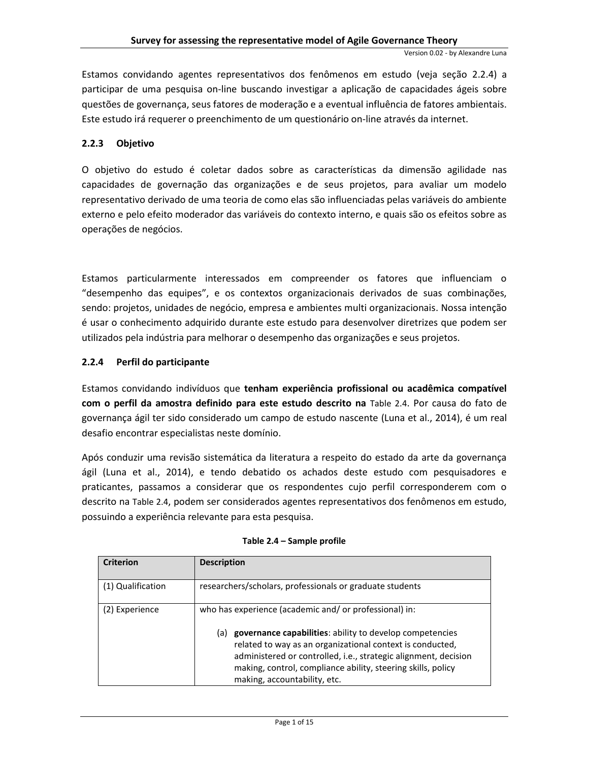Estamos convidando agentes representativos dos fenômenos em estudo (veja seção [2.2.4\)](#page-9-1) a participar de uma pesquisa on-line buscando investigar a aplicação de capacidades ágeis sobre questões de governança, seus fatores de moderação e a eventual influência de fatores ambientais. Este estudo irá requerer o preenchimento de um questionário on-line através da internet.

# <span id="page-9-0"></span>**2.2.3 Objetivo**

O objetivo do estudo é coletar dados sobre as características da dimensão agilidade nas capacidades de governação das organizações e de seus projetos, para avaliar um modelo representativo derivado de uma teoria de como elas são influenciadas pelas variáveis do ambiente externo e pelo efeito moderador das variáveis do contexto interno, e quais são os efeitos sobre as operações de negócios.

Estamos particularmente interessados em compreender os fatores que influenciam o "desempenho das equipes", e os contextos organizacionais derivados de suas combinações, sendo: projetos, unidades de negócio, empresa e ambientes multi organizacionais. Nossa intenção é usar o conhecimento adquirido durante este estudo para desenvolver diretrizes que podem ser utilizados pela indústria para melhorar o desempenho das organizações e seus projetos.

# <span id="page-9-1"></span>**2.2.4 Perfil do participante**

Estamos convidando indivíduos que **tenham experiência profissional ou acadêmica compatível com o perfil da amostra definido para este estudo descrito na** [Table 2.4](#page-9-2). Por causa do fato de governança ágil ter sido considerado um campo de estudo nascente (Luna et al., 2014), é um real desafio encontrar especialistas neste domínio.

Após conduzir uma revisão sistemática da literatura a respeito do estado da arte da governança ágil (Luna et al., 2014), e tendo debatido os achados deste estudo com pesquisadores e praticantes, passamos a considerar que os respondentes cujo perfil corresponderem com o descrito na [Table 2.4](#page-9-2), podem ser considerados agentes representativos dos fenômenos em estudo, possuindo a experiência relevante para esta pesquisa.

<span id="page-9-2"></span>

| <b>Criterion</b>  | <b>Description</b>                                                                                                                                                                                                                                                                              |
|-------------------|-------------------------------------------------------------------------------------------------------------------------------------------------------------------------------------------------------------------------------------------------------------------------------------------------|
| (1) Qualification | researchers/scholars, professionals or graduate students                                                                                                                                                                                                                                        |
| (2) Experience    | who has experience (academic and/ or professional) in:                                                                                                                                                                                                                                          |
|                   | governance capabilities: ability to develop competencies<br>(a)<br>related to way as an organizational context is conducted,<br>administered or controlled, i.e., strategic alignment, decision<br>making, control, compliance ability, steering skills, policy<br>making, accountability, etc. |

#### **Table 2.4 – Sample profile**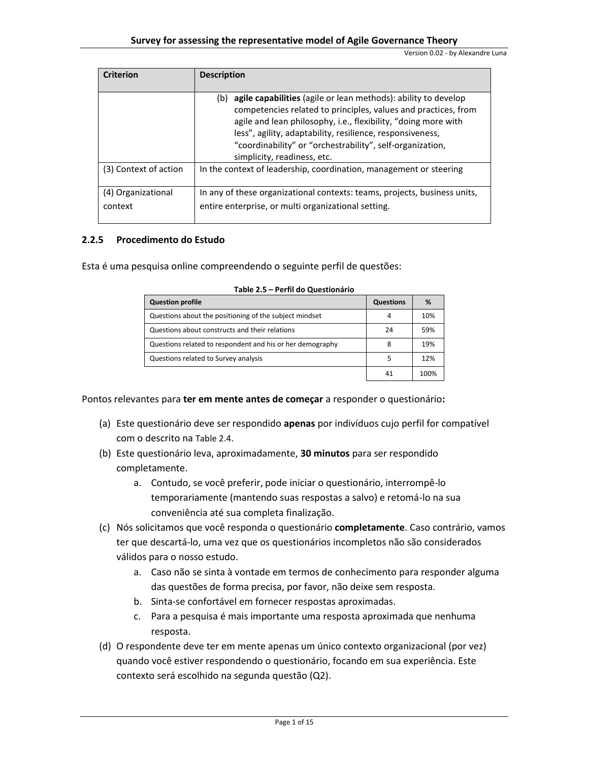| <b>Criterion</b>              | <b>Description</b>                                                                                                                                                                                                                                                                                                                                                 |
|-------------------------------|--------------------------------------------------------------------------------------------------------------------------------------------------------------------------------------------------------------------------------------------------------------------------------------------------------------------------------------------------------------------|
|                               | agile capabilities (agile or lean methods): ability to develop<br>(b)<br>competencies related to principles, values and practices, from<br>agile and lean philosophy, i.e., flexibility, "doing more with<br>less", agility, adaptability, resilience, responsiveness,<br>"coordinability" or "orchestrability", self-organization,<br>simplicity, readiness, etc. |
| (3) Context of action         | In the context of leadership, coordination, management or steering                                                                                                                                                                                                                                                                                                 |
| (4) Organizational<br>context | In any of these organizational contexts: teams, projects, business units,<br>entire enterprise, or multi organizational setting.                                                                                                                                                                                                                                   |

#### <span id="page-10-0"></span>**2.2.5 Procedimento do Estudo**

Esta é uma pesquisa online compreendendo o seguinte perfil de questões:

| <b>Question profile</b>                                   | Questions | %    |
|-----------------------------------------------------------|-----------|------|
| Questions about the positioning of the subject mindset    | 4         | 10%  |
| Questions about constructs and their relations            | 24        | 59%  |
| Questions related to respondent and his or her demography | 8         | 19%  |
| Questions related to Survey analysis                      |           | 12%  |
|                                                           | 41        | 100% |

Pontos relevantes para **ter em mente antes de começar** a responder o questionário**:**

- (a) Este questionário deve ser respondido **apenas** por indivíduos cujo perfil for compatível com o descrito na [Table 2.4](#page-9-2).
- (b) Este questionário leva, aproximadamente, **30 minutos** para ser respondido completamente.
	- a. Contudo, se você preferir, pode iniciar o questionário, interrompê-lo temporariamente (mantendo suas respostas a salvo) e retomá-lo na sua conveniência até sua completa finalização.
- (c) Nós solicitamos que você responda o questionário **completamente**. Caso contrário, vamos ter que descartá-lo, uma vez que os questionários incompletos não são considerados válidos para o nosso estudo.
	- a. Caso não se sinta à vontade em termos de conhecimento para responder alguma das questões de forma precisa, por favor, não deixe sem resposta.
	- b. Sinta-se confortável em fornecer respostas aproximadas.
	- c. Para a pesquisa é mais importante uma resposta aproximada que nenhuma resposta.
- (d) O respondente deve ter em mente apenas um único contexto organizacional (por vez) quando você estiver respondendo o questionário, focando em sua experiência. Este contexto será escolhido na segunda questão (Q2).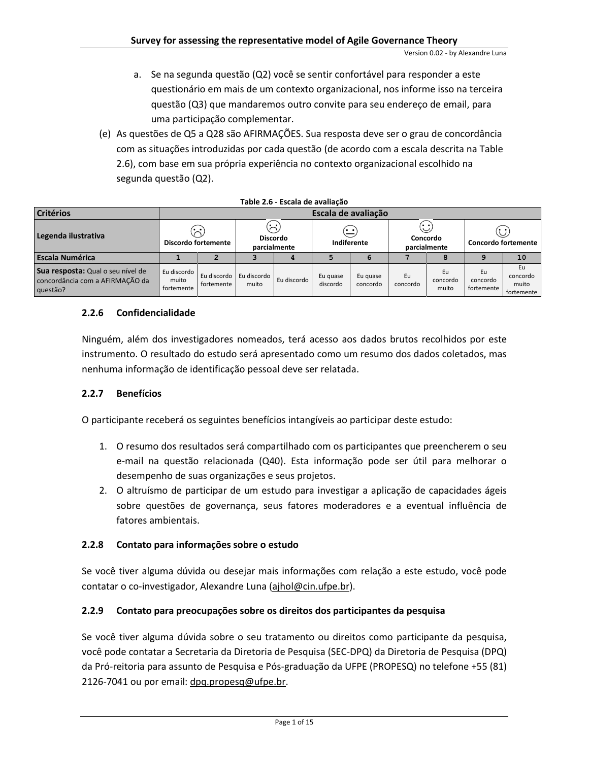- a. Se na segunda questão (Q2) você se sentir confortável para responder a este questionário em mais de um contexto organizacional, nos informe isso na terceira questão (Q3) que mandaremos outro convite para seu endereço de email, para uma participação complementar.
- (e) As questões de Q5 a Q28 são AFIRMAÇÕES. Sua resposta deve ser o grau de concordância com as situações introduzidas por cada questão (de acordo com a escala descrita n[a Table](#page-11-4)  [2.6\)](#page-11-4), com base em sua própria experiência no contexto organizacional escolhido na segunda questão (Q2).

<span id="page-11-4"></span>

|                                                                                  |                                                              |                     |                                        | Table 2.0 - Escala de availação |                      |                      |                                 |                         |                                        |                                       |  |
|----------------------------------------------------------------------------------|--------------------------------------------------------------|---------------------|----------------------------------------|---------------------------------|----------------------|----------------------|---------------------------------|-------------------------|----------------------------------------|---------------------------------------|--|
| <b>Critérios</b>                                                                 |                                                              | Escala de avaliação |                                        |                                 |                      |                      |                                 |                         |                                        |                                       |  |
| Legenda ilustrativa                                                              | $\langle \cdot, \cdot \rangle$<br><b>Discordo fortemente</b> |                     | (∹)<br><b>Discordo</b><br>parcialmente |                                 | . .<br>Indiferente   |                      | . .<br>Concordo<br>parcialmente |                         | $\omega$<br><b>Concordo fortemente</b> |                                       |  |
| <b>Escala Numérica</b>                                                           |                                                              |                     |                                        |                                 |                      |                      |                                 |                         |                                        | 10                                    |  |
| Sua resposta: Qual o seu nível de<br>concordância com a AFIRMAÇÃO da<br>questão? | Eu discordo<br>muito<br>fortemente                           | fortemente          | Eu discordo   Eu discordo<br>muito     | Eu discordo                     | Eu guase<br>discordo | Eu guase<br>concordo | Eu<br>concordo                  | Eu<br>concordo<br>muito | Eu<br>concordo<br>fortemente           | Eu<br>concordo<br>muito<br>fortemente |  |

|  |  |  |  |  | Table 2.6 - Escala de avaliação |
|--|--|--|--|--|---------------------------------|
|--|--|--|--|--|---------------------------------|

# <span id="page-11-0"></span>**2.2.6 Confidencialidade**

Ninguém, além dos investigadores nomeados, terá acesso aos dados brutos recolhidos por este instrumento. O resultado do estudo será apresentado como um resumo dos dados coletados, mas nenhuma informação de identificação pessoal deve ser relatada.

# <span id="page-11-1"></span>**2.2.7 Benefícios**

O participante receberá os seguintes benefícios intangíveis ao participar deste estudo:

- 1. O resumo dos resultados será compartilhado com os participantes que preencherem o seu e-mail na questão relacionada (Q40). Esta informação pode ser útil para melhorar o desempenho de suas organizações e seus projetos.
- 2. O altruísmo de participar de um estudo para investigar a aplicação de capacidades ágeis sobre questões de governança, seus fatores moderadores e a eventual influência de fatores ambientais.

# <span id="page-11-2"></span>**2.2.8 Contato para informações sobre o estudo**

Se você tiver alguma dúvida ou desejar mais informações com relação a este estudo, você pode contatar o co-investigador, Alexandre Luna [\(ajhol@cin.ufpe.br\)](mailto:ajhol@cin.ufpe.br).

# <span id="page-11-3"></span>**2.2.9 Contato para preocupações sobre os direitos dos participantes da pesquisa**

Se você tiver alguma dúvida sobre o seu tratamento ou direitos como participante da pesquisa, você pode contatar a Secretaria da Diretoria de Pesquisa (SEC-DPQ) da Diretoria de Pesquisa (DPQ) da Pró-reitoria para assunto de Pesquisa e Pós-graduação da UFPE (PROPESQ) no telefone +55 (81) 2126-7041 ou por email: [dpq.propesq@ufpe.br.](mailto:dpq.propesq@ufpe.br)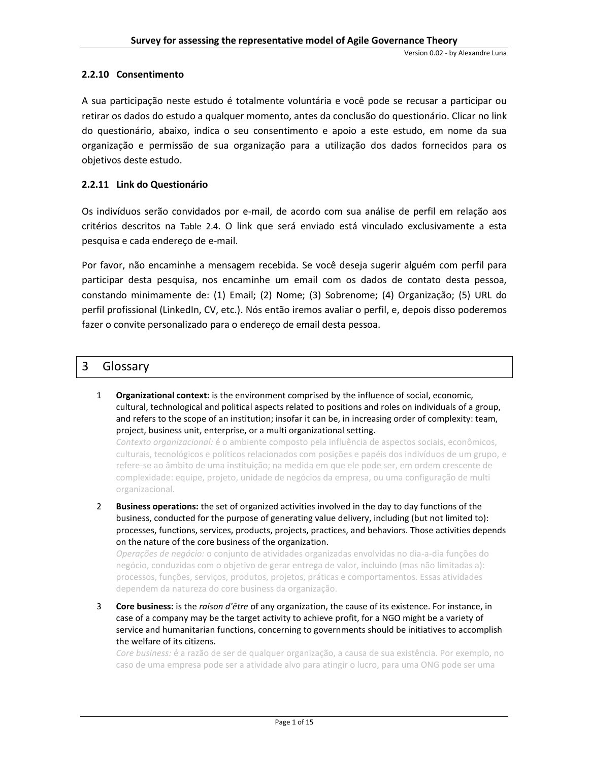# <span id="page-12-0"></span>**2.2.10 Consentimento**

A sua participação neste estudo é totalmente voluntária e você pode se recusar a participar ou retirar os dados do estudo a qualquer momento, antes da conclusão do questionário. Clicar no link do questionário, abaixo, indica o seu consentimento e apoio a este estudo, em nome da sua organização e permissão de sua organização para a utilização dos dados fornecidos para os objetivos deste estudo.

# <span id="page-12-1"></span>**2.2.11 Link do Questionário**

Os indivíduos serão convidados por e-mail, de acordo com sua análise de perfil em relação aos critérios descritos na [Table 2.4](#page-9-2). O link que será enviado está vinculado exclusivamente a esta pesquisa e cada endereço de e-mail.

Por favor, não encaminhe a mensagem recebida. Se você deseja sugerir alguém com perfil para participar desta pesquisa, nos encaminhe um email com os dados de contato desta pessoa, constando minimamente de: (1) Email; (2) Nome; (3) Sobrenome; (4) Organização; (5) URL do perfil profissional (LinkedIn, CV, etc.). Nós então iremos avaliar o perfil, e, depois disso poderemos fazer o convite personalizado para o endereço de email desta pessoa.

# <span id="page-12-2"></span>3 Glossary

1 **Organizational context:** is the environment comprised by the influence of social, economic, cultural, technological and political aspects related to positions and roles on individuals of a group, and refers to the scope of an institution; insofar it can be, in increasing order of complexity: team, project, business unit, enterprise, or a multi organizational setting.

*Contexto organizacional:* é o ambiente composto pela influência de aspectos sociais, econômicos, culturais, tecnológicos e políticos relacionados com posições e papéis dos indivíduos de um grupo, e refere-se ao âmbito de uma instituição; na medida em que ele pode ser, em ordem crescente de complexidade: equipe, projeto, unidade de negócios da empresa, ou uma configuração de multi organizacional.

2 **Business operations:** the set of organized activities involved in the day to day functions of the business, conducted for the purpose of generating value delivery, including (but not limited to): processes, functions, services, products, projects, practices, and behaviors. Those activities depends on the nature of the core business of the organization.

*Operações de negócio:* o conjunto de atividades organizadas envolvidas no dia-a-dia funções do negócio, conduzidas com o objetivo de gerar entrega de valor, incluindo (mas não limitadas a): processos, funções, serviços, produtos, projetos, práticas e comportamentos. Essas atividades dependem da natureza do core business da organização.

3 **Core business:** is the *raison d'être* of any organization, the cause of its existence. For instance, in case of a company may be the target activity to achieve profit, for a NGO might be a variety of service and humanitarian functions, concerning to governments should be initiatives to accomplish the welfare of its citizens.

*Core business:* é a razão de ser de qualquer organização, a causa de sua existência. Por exemplo, no caso de uma empresa pode ser a atividade alvo para atingir o lucro, para uma ONG pode ser uma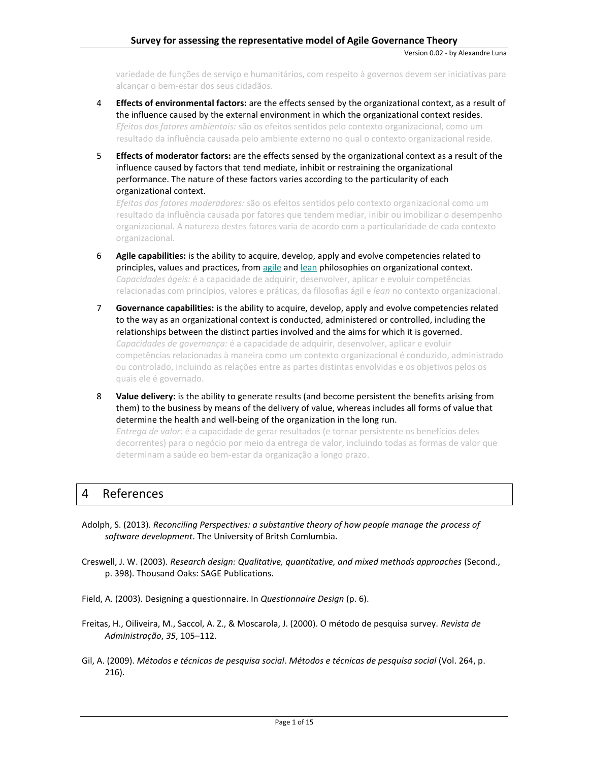Version 0.02 - by Alexandre Luna

variedade de funções de serviço e humanitários, com respeito à governos devem ser iniciativas para alcançar o bem-estar dos seus cidadãos.

- 4 **Effects of environmental factors:** are the effects sensed by the organizational context, as a result of the influence caused by the external environment in which the organizational context resides. *Efeitos dos fatores ambientais:* são os efeitos sentidos pelo contexto organizacional, como um resultado da influência causada pelo ambiente externo no qual o contexto organizacional reside.
- 5 **Effects of moderator factors:** are the effects sensed by the organizational context as a result of the influence caused by factors that tend mediate, inhibit or restraining the organizational performance. The nature of these factors varies according to the particularity of each organizational context.

*Efeitos dos fatores moderadores:* são os efeitos sentidos pelo contexto organizacional como um resultado da influência causada por fatores que tendem mediar, inibir ou imobilizar o desempenho organizacional. A natureza destes fatores varia de acordo com a particularidade de cada contexto organizacional.

- 6 **Agile capabilities:** is the ability to acquire, develop, apply and evolve competencies related to principles, values and practices, from [agile](http://encyclopedia.thefreedictionary.com/agile) and [lean](http://encyclopedia.thefreedictionary.com/lean) philosophies on organizational context. *Capacidades ágeis:* é a capacidade de adquirir, desenvolver, aplicar e evoluir competências relacionadas com princípios, valores e práticas, da filosofias ágil e *lean* no contexto organizacional.
- 7 **Governance capabilities:** is the ability to acquire, develop, apply and evolve competencies related to the way as an organizational context is conducted, administered or controlled, including the relationships between the distinct parties involved and the aims for which it is governed. *Capacidades de governança:* é a capacidade de adquirir, desenvolver, aplicar e evoluir competências relacionadas à maneira como um contexto organizacional é conduzido, administrado ou controlado, incluindo as relações entre as partes distintas envolvidas e os objetivos pelos os quais ele é governado.
- 8 **Value delivery:** is the ability to generate results (and become persistent the benefits arising from them) to the business by means of the delivery of value, whereas includes all forms of value that determine the health and well-being of the organization in the long run. *Entrega de valor:* é a capacidade de gerar resultados (e tornar persistente os benefícios deles decorrentes) para o negócio por meio da entrega de valor, incluindo todas as formas de valor que

# <span id="page-13-0"></span>4 References

- Adolph, S. (2013). *Reconciling Perspectives: a substantive theory of how people manage the process of software development*. The University of Britsh Comlumbia.
- Creswell, J. W. (2003). *Research design: Qualitative, quantitative, and mixed methods approaches* (Second., p. 398). Thousand Oaks: SAGE Publications.
- Field, A. (2003). Designing a questionnaire. In *Questionnaire Design* (p. 6).

determinam a saúde eo bem-estar da organização a longo prazo.

- Freitas, H., Oiliveira, M., Saccol, A. Z., & Moscarola, J. (2000). O método de pesquisa survey. *Revista de Administração*, *35*, 105–112.
- Gil, A. (2009). *Métodos e técnicas de pesquisa social*. *Métodos e técnicas de pesquisa social* (Vol. 264, p. 216).